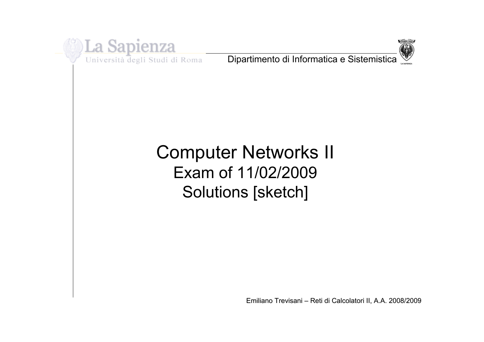

Università degli Studi di Roma

Dipartimento di Informatica e Sistemistica



# Computer Networks II Exam of 11/02/2009 Solutions [sketch]

Emiliano Trevisani - Reti di Calcolatori II, A.A. 2008/2009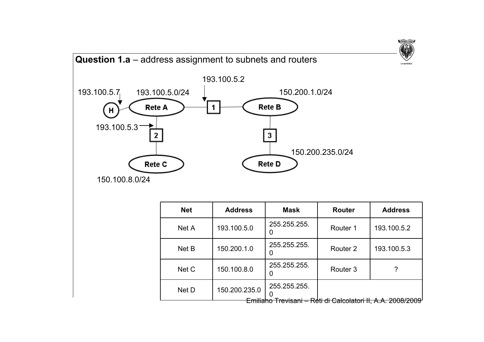

| <b>Net</b> | <b>Address</b>          | <b>Mask</b>       | <b>Router</b>                                                 | <b>Address</b> |  |
|------------|-------------------------|-------------------|---------------------------------------------------------------|----------------|--|
| Net A      | 193.100.5.0             | 255.255.255.      | Router 1                                                      | 193.100.5.2    |  |
| Net B      | 150.200.1.0             | 255.255.255.<br>O | Router <sub>2</sub>                                           | 193.100.5.3    |  |
| Net C      | 150.100.8.0             | 255.255.255.<br>0 | Router <sub>3</sub>                                           |                |  |
| Net D      | 150.200.235.0<br>cmmano | 255.255.255.      | <del>Trevisani – Reti di Calcolatori II, A.A. 2008/2009</del> |                |  |

**TVDIWM-VRBC**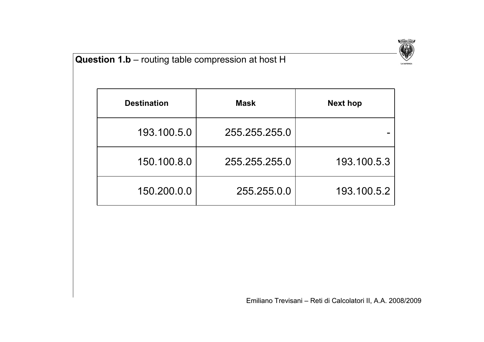

## **Question 1.b** – routing table compression at host H

| <b>Destination</b> | <b>Mask</b>   | <b>Next hop</b> |  |  |  |
|--------------------|---------------|-----------------|--|--|--|
| 193.100.5.0        | 255.255.255.0 |                 |  |  |  |
| 150.100.8.0        | 255.255.255.0 | 193.100.5.3     |  |  |  |
| 150.200.0.0        | 255.255.0.0   | 193.100.5.2     |  |  |  |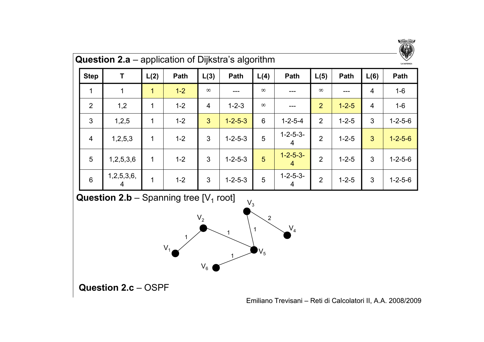

| <b>Question 2.a</b> – application of Dijkstra's algorithm |            |      |         |                |                 |          |                        |                | $\mathbb{U}/\mathbb{I}$<br><b>LA SAPIENZA</b> |                |                 |
|-----------------------------------------------------------|------------|------|---------|----------------|-----------------|----------|------------------------|----------------|-----------------------------------------------|----------------|-----------------|
| <b>Step</b>                                               | T          | L(2) | Path    | L(3)           | Path            | L(4)     | Path                   | L(5)           | Path                                          | L(6)           | Path            |
| 1                                                         |            | 1    | $1-2$   | $\infty$       |                 | $\infty$ |                        | $\infty$       |                                               | 4              | $1 - 6$         |
| $\overline{2}$                                            | 1,2        | 1    | $1 - 2$ | $\overline{4}$ | $1 - 2 - 3$     | $\infty$ |                        | $\overline{2}$ | $1 - 2 - 5$                                   | $\overline{4}$ | $1-6$           |
| 3                                                         | 1,2,5      | 1    | $1 - 2$ | 3              | $1 - 2 - 5 - 3$ | 6        | $1 - 2 - 5 - 4$        | $\overline{2}$ | $1 - 2 - 5$                                   | 3              | $1 - 2 - 5 - 6$ |
| $\overline{4}$                                            | 1,2,5,3    | 1    | $1 - 2$ | 3              | $1 - 2 - 5 - 3$ | 5        | $1 - 2 - 5 - 3 -$<br>4 | $\overline{2}$ | $1 - 2 - 5$                                   | 3              | $1 - 2 - 5 - 6$ |
| 5                                                         | 1,2,5,3,6  | 1    | $1 - 2$ | 3              | $1 - 2 - 5 - 3$ | 5        | $1 - 2 - 5 - 3 -$<br>4 | $\overline{2}$ | $1 - 2 - 5$                                   | 3              | $1 - 2 - 5 - 6$ |
| $6\phantom{1}$                                            | 1,2,5,3,6, | 1    | $1 - 2$ | 3              | $1 - 2 - 5 - 3$ | 5        | $1 - 2 - 5 - 3 -$<br>4 | $\overline{2}$ | $1 - 2 - 5$                                   | 3              | $1 - 2 - 5 - 6$ |

**Question 2.b** – Spanning tree  $[V_1$  root]



**Question 2.c** – OSPF

Emiliano Trevisani - Reti di Calcolatori II, A.A. 2008/2009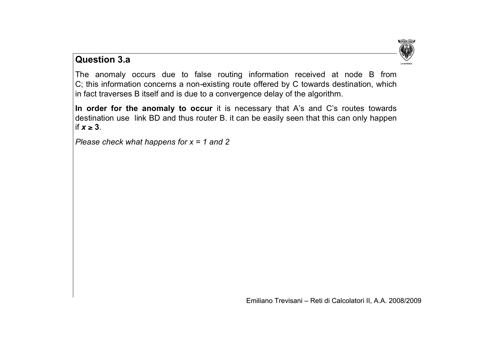

### **Question 3.a**

The anomaly occurs due to false routing information received at node B from C; this information concerns a non-existing route offered by C towards destination, which in fact traverses B itself and is due to a convergence delay of the algorithm.

**In order for the anomaly to occur** it is necessary that A's and C's routes towards destination use link BD and thus router B. it can be easily seen that this can only happen if  $x \geq 3$ .

*Please check what happens for x = 1 and 2*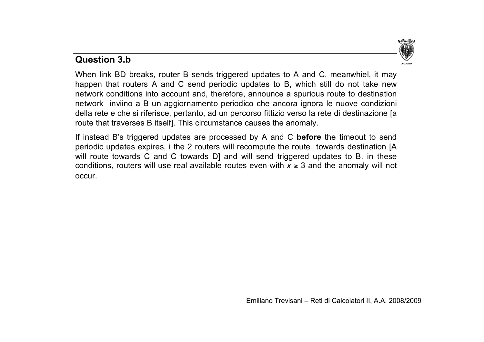

### **Question 3.b**

When link BD breaks, router B sends triggered updates to A and C. meanwhiel, it may happen that routers A and C send periodic updates to B, which still do not take new network conditions into account and, therefore, announce a spurious route to destination network inviino a B un aggiornamento periodico che ancora ignora le nuove condizioni della rete e che si riferisce, pertanto, ad un percorso fittizio verso la rete di destinazione [a route that traverses B itself]. This circumstance causes the anomaly.

If instead B's triggered updates are processed by A and C **before** the timeout to send periodic updates expires, i the 2 routers will recompute the route towards destination [A will route towards C and C towards D] and will send triggered updates to B. in these conditions, routers will use real available routes even with  $x \geq 3$  and the anomaly will not occur.